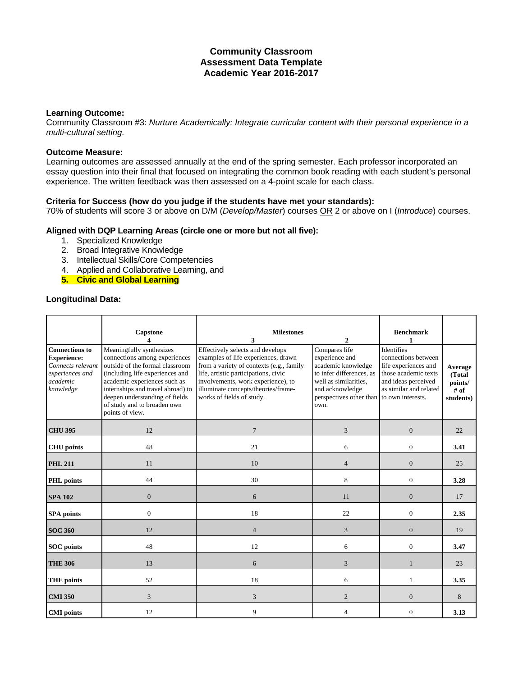# **Community Classroom Assessment Data Template Academic Year 2016-2017**

#### **Learning Outcome:**

Community Classroom #3: *Nurture Academically: Integrate curricular content with their personal experience in a multi-cultural setting.*

## **Outcome Measure:**

Learning outcomes are assessed annually at the end of the spring semester. Each professor incorporated an essay question into their final that focused on integrating the common book reading with each student's personal experience. The written feedback was then assessed on a 4-point scale for each class.

### **Criteria for Success (how do you judge if the students have met your standards):**

70% of students will score 3 or above on D/M (*Develop/Master*) courses OR 2 or above on I (*Introduce*) courses.

## **Aligned with DQP Learning Areas (circle one or more but not all five):**

- 1. Specialized Knowledge
- 2. Broad Integrative Knowledge
- 3. Intellectual Skills/Core Competencies
- 4. Applied and Collaborative Learning, and
- **5. Civic and Global Learning**

### **Longitudinal Data:**

|                                                                                                              | Capstone                                                                                                                                                                                                                                                                                 | <b>Milestones</b><br>3                                                                                                                                                                                                                                                | $\mathcal{D}_{\alpha}$                                                                                                                                           | <b>Benchmark</b><br>1                                                                                                                                   |                                                     |
|--------------------------------------------------------------------------------------------------------------|------------------------------------------------------------------------------------------------------------------------------------------------------------------------------------------------------------------------------------------------------------------------------------------|-----------------------------------------------------------------------------------------------------------------------------------------------------------------------------------------------------------------------------------------------------------------------|------------------------------------------------------------------------------------------------------------------------------------------------------------------|---------------------------------------------------------------------------------------------------------------------------------------------------------|-----------------------------------------------------|
| <b>Connections to</b><br><b>Experience:</b><br>Connects relevant<br>experiences and<br>academic<br>knowledge | Meaningfully synthesizes<br>connections among experiences<br>outside of the formal classroom<br>(including life experiences and<br>academic experiences such as<br>internships and travel abroad) to<br>deepen understanding of fields<br>of study and to broaden own<br>points of view. | Effectively selects and develops<br>examples of life experiences, drawn<br>from a variety of contexts (e.g., family<br>life, artistic participations, civic<br>involvements, work experience), to<br>illuminate concepts/theories/frame-<br>works of fields of study. | Compares life<br>experience and<br>academic knowledge<br>to infer differences, as<br>well as similarities.<br>and acknowledge<br>perspectives other than<br>own. | Identifies<br>connections between<br>life experiences and<br>those academic texts<br>and ideas perceived<br>as similar and related<br>to own interests. | Average<br>(Total<br>points/<br>$#$ of<br>students) |
| <b>CHU 395</b>                                                                                               | 12                                                                                                                                                                                                                                                                                       | $\overline{7}$                                                                                                                                                                                                                                                        | 3                                                                                                                                                                | $\boldsymbol{0}$                                                                                                                                        | 22                                                  |
| <b>CHU</b> points                                                                                            | 48                                                                                                                                                                                                                                                                                       | 21                                                                                                                                                                                                                                                                    | 6                                                                                                                                                                | $\mathbf{0}$                                                                                                                                            | 3.41                                                |
| <b>PHL 211</b>                                                                                               | 11                                                                                                                                                                                                                                                                                       | 10                                                                                                                                                                                                                                                                    | $\overline{4}$                                                                                                                                                   | $\overline{0}$                                                                                                                                          | 25                                                  |
| <b>PHL</b> points                                                                                            | 44                                                                                                                                                                                                                                                                                       | 30                                                                                                                                                                                                                                                                    | 8                                                                                                                                                                | $\overline{0}$                                                                                                                                          | 3.28                                                |
| <b>SPA 102</b>                                                                                               | $\overline{0}$                                                                                                                                                                                                                                                                           | 6                                                                                                                                                                                                                                                                     | 11                                                                                                                                                               | $\overline{0}$                                                                                                                                          | 17                                                  |
| <b>SPA</b> points                                                                                            | $\overline{0}$                                                                                                                                                                                                                                                                           | 18                                                                                                                                                                                                                                                                    | 22                                                                                                                                                               | $\overline{0}$                                                                                                                                          | 2.35                                                |
| <b>SOC 360</b>                                                                                               | 12                                                                                                                                                                                                                                                                                       | $\overline{4}$                                                                                                                                                                                                                                                        | 3                                                                                                                                                                | $\overline{0}$                                                                                                                                          | 19                                                  |
| <b>SOC</b> points                                                                                            | 48                                                                                                                                                                                                                                                                                       | 12                                                                                                                                                                                                                                                                    | 6                                                                                                                                                                | $\mathbf{0}$                                                                                                                                            | 3.47                                                |
| <b>THE 306</b>                                                                                               | 13                                                                                                                                                                                                                                                                                       | 6                                                                                                                                                                                                                                                                     | 3                                                                                                                                                                | $\mathbf{1}$                                                                                                                                            | 23                                                  |
| <b>THE points</b>                                                                                            | 52                                                                                                                                                                                                                                                                                       | 18                                                                                                                                                                                                                                                                    | 6                                                                                                                                                                | 1                                                                                                                                                       | 3.35                                                |
| <b>CMI 350</b>                                                                                               | 3                                                                                                                                                                                                                                                                                        | 3                                                                                                                                                                                                                                                                     | $\overline{c}$                                                                                                                                                   | $\overline{0}$                                                                                                                                          | 8                                                   |
| <b>CMI</b> points                                                                                            | 12                                                                                                                                                                                                                                                                                       | 9                                                                                                                                                                                                                                                                     | 4                                                                                                                                                                | $\boldsymbol{0}$                                                                                                                                        | 3.13                                                |